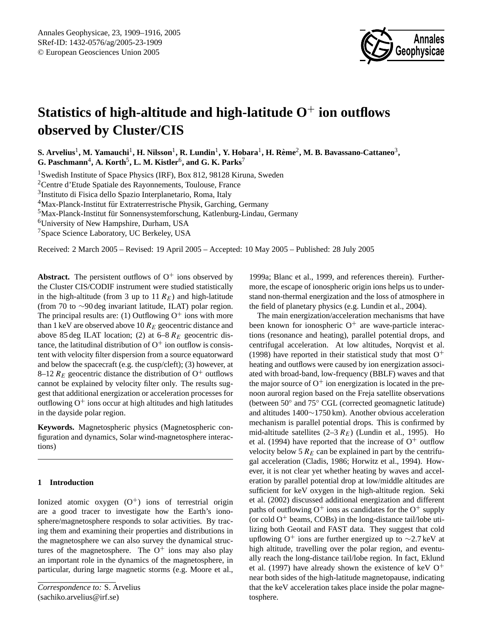

# **Statistics of high-altitude and high-latitude O**<sup>+</sup> **ion outflows observed by Cluster/CIS**

 ${\bf S.~Arvelius}^1,$   ${\bf M.~Yamauchi}^1,$   ${\bf H.~Nilsson}^1,$   ${\bf R.~Lundin}^1,$   ${\bf Y.~Hobara}^1,$   ${\bf H.~Rème}^2,$   ${\bf M.~B.~Bavassano-Cattaneo}^3,$  $G$ . Paschmann<sup>4</sup>, A. Korth<sup>5</sup>, L. M. Kistler<sup>6</sup>, and G. K. Parks<sup>7</sup>

<sup>1</sup>Swedish Institute of Space Physics (IRF), Box 812, 98128 Kiruna, Sweden

<sup>2</sup>Centre d'Etude Spatiale des Rayonnements, Toulouse, France

3 Instituto di Fisica dello Spazio Interplanetario, Roma, Italy

<sup>4</sup>Max-Planck-Institut für Extraterrestrische Physik, Garching, Germany

 $5$ Max-Planck-Institut für Sonnensystemforschung, Katlenburg-Lindau, Germany

<sup>6</sup>University of New Hampshire, Durham, USA

<sup>7</sup>Space Science Laboratory, UC Berkeley, USA

Received: 2 March 2005 – Revised: 19 April 2005 – Accepted: 10 May 2005 – Published: 28 July 2005

**Abstract.** The persistent outflows of  $O<sup>+</sup>$  ions observed by the Cluster CIS/CODIF instrument were studied statistically in the high-altitude (from 3 up to 11  $R_E$ ) and high-latitude (from 70 to ∼90 deg invariant latitude, ILAT) polar region. The principal results are: (1) Outflowing  $O^+$  ions with more than 1 keV are observed above 10  $R_E$  geocentric distance and above 85 deg ILAT location; (2) at  $6-8 R<sub>E</sub>$  geocentric distance, the latitudinal distribution of  $O<sup>+</sup>$  ion outflow is consistent with velocity filter dispersion from a source equatorward and below the spacecraft (e.g. the cusp/cleft); (3) however, at 8–12  $R_E$  geocentric distance the distribution of O<sup>+</sup> outflows cannot be explained by velocity filter only. The results suggest that additional energization or acceleration processes for outflowing  $O^+$  ions occur at high altitudes and high latitudes in the dayside polar region.

**Keywords.** Magnetospheric physics (Magnetospheric configuration and dynamics, Solar wind-magnetosphere interactions)

# **1 Introduction**

<span id="page-0-0"></span>Ionized atomic oxygen  $(O<sup>+</sup>)$  ions of terrestrial origin are a good tracer to investigate how the Earth's ionosphere/magnetosphere responds to solar activities. By tracing them and examining their properties and distributions in the magnetosphere we can also survey the dynamical structures of the magnetosphere. The  $O^+$  ions may also play an important role in the dynamics of the magnetosphere, in particular, during large magnetic storms (e.g. [Moore et al.,](#page-7-0)

[1999a;](#page-7-0) [Blanc et al.,](#page-7-1) [1999,](#page-7-1) and references therein). Furthermore, the escape of ionospheric origin ions helps us to understand non-thermal energization and the loss of atmosphere in the field of planetary physics (e.g. [Lundin et al.,](#page-7-2) [2004\)](#page-7-2).

The main energization/acceleration mechanisms that have been known for ionospheric  $O^+$  are wave-particle interactions (resonance and heating), parallel potential drops, and centrifugal acceleration. At low altitudes, [Norqvist et al.](#page-7-3) [\(1998\)](#page-7-3) have reported in their statistical study that most  $O^+$ heating and outflows were caused by ion energization associated with broad-band, low-frequency (BBLF) waves and that the major source of  $O^+$  ion energization is located in the prenoon auroral region based on the Freja satellite observations (between 50◦ and 75◦ CGL (corrected geomagnetic latitude) and altitudes 1400∼1750 km). Another obvious acceleration mechanism is parallel potential drops. This is confirmed by mid-altitude satellites  $(2-3 R_E)$  [\(Lundin et al.,](#page-7-4) [1995\)](#page-7-4). [Ho](#page-7-5) [et al.](#page-7-5) [\(1994\)](#page-7-5) have reported that the increase of  $O<sup>+</sup>$  outflow velocity below 5  $R_E$  can be explained in part by the centrifugal acceleration [\(Cladis,](#page-7-6) [1986;](#page-7-6) [Horwitz et al.,](#page-7-7) [1994\)](#page-7-7). However, it is not clear yet whether heating by waves and acceleration by parallel potential drop at low/middle altitudes are sufficient for keV oxygen in the high-altitude region. [Seki](#page-7-8) [et al.](#page-7-8) [\(2002\)](#page-7-8) discussed additional energization and different paths of outflowing  $O^+$  ions as candidates for the  $O^+$  supply (or cold  $O<sup>+</sup>$  beams, COBs) in the long-distance tail/lobe utilizing both Geotail and FAST data. They suggest that cold upflowing O<sup>+</sup> ions are further energized up to  $\sim$ 2.7 keV at high altitude, travelling over the polar region, and eventually reach the long-distance tail/lobe region. In fact, [Eklund](#page-7-9) [et al.](#page-7-9) [\(1997\)](#page-7-9) have already shown the existence of keV  $O^+$ near both sides of the high-latitude magnetopause, indicating that the keV acceleration takes place inside the polar magnetosphere.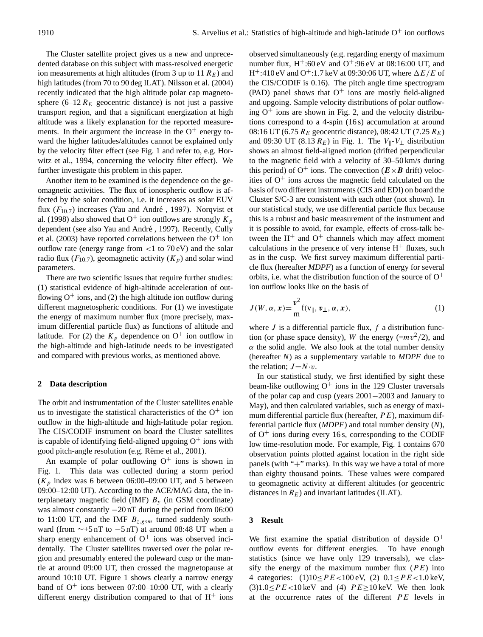The Cluster satellite project gives us a new and unprecedented database on this subject with mass-resolved energetic ion measurements at high altitudes (from 3 up to 11  $R_E$ ) and high latitudes (from 70 to 90 deg ILAT). [Nilsson et al.](#page-7-10) [\(2004\)](#page-7-10) recently indicated that the high altitude polar cap magnetosphere (6–12  $R_E$  geocentric distance) is not just a passive transport region, and that a significant energization at high altitude was a likely explanation for the reported measurements. In their argument the increase in the  $O^+$  energy toward the higher latitudes/altitudes cannot be explained only by the velocity filter effect (see Fig. [1](#page-2-0) and refer to, e.g. [Hor](#page-7-7)[witz et al.,](#page-7-7) [1994,](#page-7-7) concerning the velocity filter effect). We further investigate this problem in this paper.

Another item to be examined is the dependence on the geomagnetic activities. The flux of ionospheric outflow is affected by the solar condition, i.e. it increases as solar EUV flux  $(F_{10.7})$  increases (Yau and André, [1997\)](#page-7-11). [Norqvist et](#page-7-3) [al.](#page-7-3) [\(1998\)](#page-7-3) also showed that  $O^+$  ion outflows are strongly  $K_p$ dependent (see also Yau and André, [1997\)](#page-7-11). Recently, [Cully](#page-7-12) [et al.](#page-7-12) [\(2003\)](#page-7-12) have reported correlations between the  $O^+$  ion outflow rate (energy range from  $<$ 1 to 70 eV) and the solar radio flux ( $F_{10.7}$ ), geomagnetic activity ( $K_p$ ) and solar wind parameters.

There are two scientific issues that require further studies: (1) statistical evidence of high-altitude acceleration of outflowing  $O^+$  ions, and (2) the high altitude ion outflow during different magnetospheric conditions. For (1) we investigate the energy of maximum number flux (more precisely, maximum differential particle flux) as functions of altitude and latitude. For (2) the  $K_p$  dependence on  $O^+$  ion outflow in the high-altitude and high-latitude needs to be investigated and compared with previous works, as mentioned above.

# **2 Data description**

The orbit and instrumentation of the Cluster satellites enable us to investigate the statistical characteristics of the  $O^+$  ion outflow in the high-altitude and high-latitude polar region. The CIS/CODIF instrument on board the Cluster satellites is capable of identifying field-aligned upgoing  $O^+$  ions with good pitch-angle resolution (e.g. Rème et al., [2001\)](#page-7-13).

An example of polar outflowing  $O^+$  ions is shown in Fig. [1.](#page-2-0) This data was collected during a storm period  $(K_p$  index was 6 between 06:00–09:00 UT, and 5 between 09:00–12:00 UT). According to the ACE/MAG data, the interplanetary magnetic field (IMF)  $B<sub>v</sub>$  (in GSM coordinate) was almost constantly −20 nT during the period from 06:00 to 11:00 UT, and the IMF  $B_{z,gsm}$  turned suddenly southward (from  $\sim$ +5 nT to −5 nT) at around 08:48 UT when a sharp energy enhancement of  $O^+$  ions was observed incidentally. The Cluster satellites traversed over the polar region and presumably entered the poleward cusp or the mantle at around 09:00 UT, then crossed the magnetopause at around 10:10 UT. Figure [1](#page-2-0) shows clearly a narrow energy band of  $O^+$  ions between 07:00–10:00 UT, with a clearly different energy distribution compared to that of  $H^+$  ions observed simultaneously (e.g. regarding energy of maximum number flux,  $H^+$ :60 eV and  $O^+$ :96 eV at 08:16:00 UT, and H<sup>+</sup>:410 eV and O<sup>+</sup>:1.7 keV at 09:30:06 UT, where  $\Delta E/E$  of the CIS/CODIF is 0.16). The pitch angle time spectrogram (PAD) panel shows that  $O^+$  ions are mostly field-aligned and upgoing. Sample velocity distributions of polar outflowing  $O^+$  ions are shown in Fig. [2,](#page-3-0) and the velocity distributions correspond to a 4-spin (16 s) accumulation at around 08:16 UT (6.75  $R_E$  geocentric distance), 08:42 UT (7.25  $R_E$ ) and 09:30 UT (8.13  $R_E$ ) in Fig. [1.](#page-2-0) The  $V_{\parallel}$ - $V_{\perp}$  distribution shows an almost field-aligned motion (drifted perpendicular to the magnetic field with a velocity of 30–50 km/s during this period) of  $O^+$  ions. The convection ( $E \times B$  drift) velocities of  $O<sup>+</sup>$  ions across the magnetic field calculated on the basis of two different instruments (CIS and EDI) on board the Cluster S/C-3 are consistent with each other (not shown). In our statistical study, we use differential particle flux because this is a robust and basic measurement of the instrument and it is possible to avoid, for example, effects of cross-talk between the  $H^+$  and  $O^+$  channels which may affect moment calculations in the presence of very intense  $H^+$  fluxes, such as in the cusp. We first survey maximum differential particle flux (hereafter *MDPF*) as a function of energy for several orbits, i.e. what the distribution function of the source of  $O<sup>+</sup>$ ion outflow looks like on the basis of

$$
J(W, \alpha, x) = \frac{v^2}{m} f(v_{\parallel}, v_{\perp}, \alpha, x),
$$
 (1)

where  $J$  is a differential particle flux,  $f$  a distribution function (or phase space density), W the energy  $\left(\frac{-mv^2}{2}\right)$ , and  $\alpha$  the solid angle. We also look at the total number density (hereafter *N*) as a supplementary variable to *MDPF* due to the relation;  $J=N \cdot v$ .

In our statistical study, we first identified by sight these beam-like outflowing  $O<sup>+</sup>$  ions in the 129 Cluster traversals of the polar cap and cusp (years 2001−2003 and January to May), and then calculated variables, such as energy of maximum differential particle flux (hereafter,  $PE$ ), maximum differential particle flux (*MDPF*) and total number density (*N*), of  $O^+$  ions during every 16 s, corresponding to the CODIF low time-resolution mode. For example, Fig. [1](#page-2-0) contains 670 observation points plotted against location in the right side panels (with "+" marks). In this way we have a total of more than eighty thousand points. These values were compared to geomagnetic activity at different altitudes (or geocentric distances in  $R_E$ ) and invariant latitudes (ILAT).

# **3 Result**

We first examine the spatial distribution of dayside  $O^+$ outflow events for different energies. To have enough statistics (since we have only 129 traversals), we classify the energy of the maximum number flux  $(P E)$  into 4 categories:  $(1)10 \le PE < 100 \text{ eV}$ ,  $(2) 0.1 \le PE < 1.0 \text{ keV}$ ,  $(3)1.0 < PE < 10$  keV and  $(4)$   $PE > 10$  keV. We then look at the occurrence rates of the different  $PE$  levels in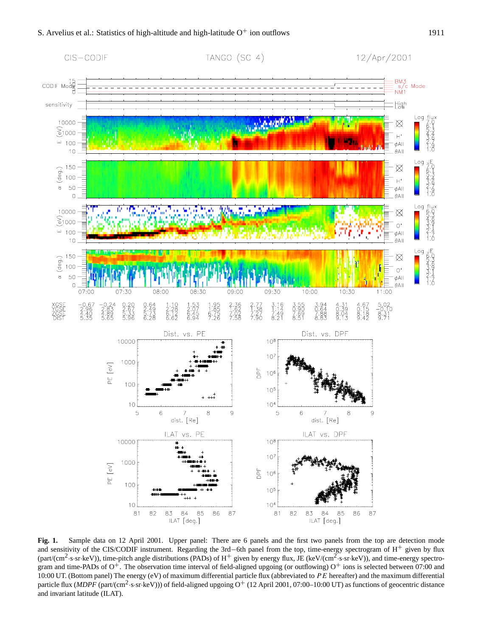

<span id="page-2-0"></span>**Fig. 1.** Sample data on 12 April 2001. Upper panel: There are 6 panels and the first two panels from the top are detection mode and sensitivity of the CIS/CODIF instrument. Regarding the 3rd−6th panel from the top, time-energy spectrogram of H<sup>+</sup> given by flux (part/(cm<sup>2</sup>·s·sr·keV)), time-pitch angle distributions (PADs) of H<sup>+</sup> given by energy flux, JE (keV/(cm<sup>2</sup>·s·sr·keV)), and time-energy spectrogram and time-PADs of  $O^+$ . The observation time interval of field-aligned upgoing (or outflowing)  $O^+$  ions is selected between 07:00 and 10:00 UT. (Bottom panel) The energy (eV) of maximum differential particle flux (abbreviated to  $PE$  hereafter) and the maximum differential particle flux (*MDPF* (part/(cm<sup>2</sup>·s·sr·keV))) of field-aligned upgoing O<sup>+</sup> (12 April 2001, 07:00–10:00 UT) as functions of geocentric distance and invariant latitude (ILAT).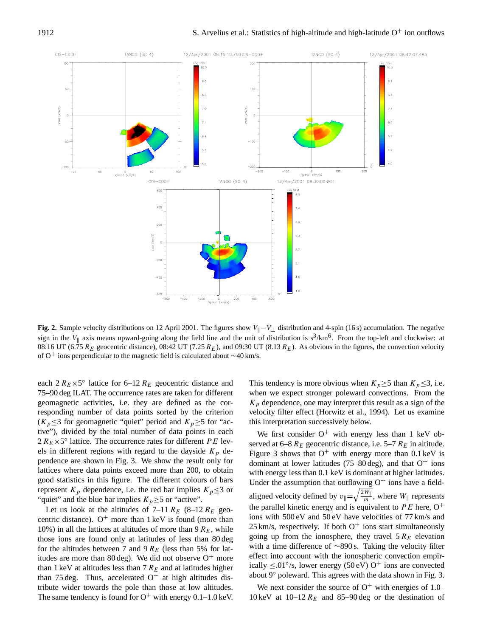

<span id="page-3-0"></span>**Fig. 2.** Sample velocity distributions on 12 April 2001. The figures show V<sub>||</sub> −V<sub>⊥</sub> distribution and 4-spin (16 s) accumulation. The negative sign in the  $V_{\parallel}$  axis means upward-going along the field line and the unit of distribution is  $s^3/km^6$ . From the top-left and clockwise: at 08:16 UT (6.75  $R_E$  geocentric distance), 08:42 UT (7.25  $R_E$ ), and 09:30 UT (8.13  $R_E$ ). As obvious in the figures, the convection velocity of O<sup>+</sup> ions perpendicular to the magnetic field is calculated about ∼40 km/s.

each  $2 R_E \times 5^\circ$  lattice for 6–12  $R_E$  geocentric distance and 75–90 deg ILAT. The occurrence rates are taken for different geomagnetic activities, i.e. they are defined as the corresponding number of data points sorted by the criterion  $(K_p \leq 3$  for geomagnetic "quiet" period and  $K_p \geq 5$  for "active"), divided by the total number of data points in each  $2 R_E \times 5^\circ$  lattice. The occurrence rates for different PE levels in different regions with regard to the dayside  $K_p$  dependence are shown in Fig. [3.](#page-4-0) We show the result only for lattices where data points exceed more than 200, to obtain good statistics in this figure. The different colours of bars represent  $K_p$  dependence, i.e. the red bar implies  $K_p \leq 3$  or "quiet" and the blue bar implies  $K_p \ge 5$  or "active".

Let us look at the altitudes of  $7-11 R_E$  (8–12  $R_E$  geocentric distance).  $O^+$  more than 1 keV is found (more than 10%) in all the lattices at altitudes of more than  $9 R<sub>E</sub>$ , while those ions are found only at latitudes of less than 80 deg for the altitudes between 7 and 9  $R_E$  (less than 5% for latitudes are more than 80 deg). We did not observe  $O^+$  more than 1 keV at altitudes less than 7  $R_E$  and at latitudes higher than 75 deg. Thus, accelerated  $O<sup>+</sup>$  at high altitudes distribute wider towards the pole than those at low altitudes. The same tendency is found for  $O^+$  with energy 0.1–1.0 keV. This tendency is more obvious when  $K_p \geq 5$  than  $K_p \leq 3$ , i.e. when we expect stronger poleward convections. From the  $K_p$  dependence, one may interpret this result as a sign of the velocity filter effect [\(Horwitz et al.,](#page-7-7) [1994\)](#page-7-7). Let us examine this interpretation successively below.

We first consider  $O^+$  with energy less than 1 keV observed at 6–8  $R_E$  geocentric distance, i.e. 5–7  $R_E$  in altitude. Figure [3](#page-4-0) shows that  $O^+$  with energy more than 0.1 keV is dominant at lower latitudes (75–80 deg), and that  $O^+$  ions with energy less than  $0.1 \text{ keV}$  is dominant at higher latitudes. Under the assumption that outflowing  $O<sup>+</sup>$  ions have a fieldaligned velocity defined by  $v_{\parallel} = \sqrt{\frac{2W_{\parallel}}{m}}$  $\frac{w_{\parallel}}{m}$ , where  $W_{\parallel}$  represents the parallel kinetic energy and is equivalent to  $PE$  here,  $O^+$ ions with 500 eV and 50 eV have velocities of 77 km/s and  $25 \text{ km/s}$ , respectively. If both  $O^+$  ions start simultaneously going up from the ionosphere, they travel  $5 R_E$  elevation with a time difference of ∼890 s. Taking the velocity filter effect into account with the ionospheric convection empirically  $\leq 0.01^{\circ}/s$ , lower energy (50 eV) O<sup>+</sup> ions are convected about 9◦ poleward. This agrees with the data shown in Fig. [3.](#page-4-0)

We next consider the source of  $O^+$  with energies of 1.0– 10 keV at 10–12  $R_E$  and 85–90 deg or the destination of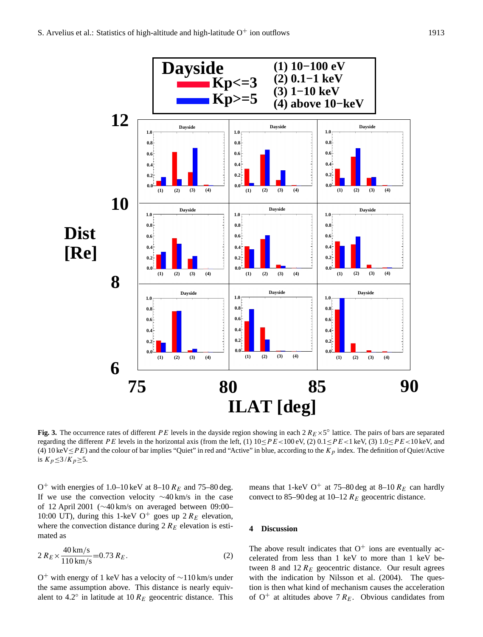

<span id="page-4-0"></span>Fig. 3. The occurrence rates of different PE levels in the dayside region showing in each  $2 R_E \times 5^\circ$  lattice. The pairs of bars are separated regarding the different PE levels in the horizontal axis (from the left, (1)  $10 \le PE < 100 \text{ eV}$ , (2)  $0.1 \le PE < 1 \text{ keV}$ , (3)  $1.0 \le PE < 10 \text{ keV}$ , and (4) 10 keV  $\leq$  P E) and the colour of bar implies "Quiet" in red and "Active" in blue, according to the K<sub>p</sub> index. The definition of Quiet/Active is  $K_p \leq \frac{3}{K_p} \geq 5$ .

O<sup>+</sup> with energies of 1.0–10 keV at 8–10  $R_E$  and 75–80 deg. If we use the convection velocity ∼40 km/s in the case of 12 April 2001 (∼40 km/s on averaged between 09:00– 10:00 UT), during this 1-keV O<sup>+</sup> goes up 2  $R_E$  elevation, where the convection distance during  $2 R_E$  elevation is estimated as

$$
2 R_E \times \frac{40 \text{ km/s}}{110 \text{ km/s}} = 0.73 R_E.
$$
 (2)

O <sup>+</sup> with energy of 1 keV has a velocity of ∼110 km/s under the same assumption above. This distance is nearly equivalent to 4.2° in latitude at 10  $R_E$  geocentric distance. This means that 1-keV O<sup>+</sup> at 75–80 deg at 8–10  $R_E$  can hardly convect to 85–90 deg at 10–12  $R_E$  geocentric distance.

## **4 Discussion**

The above result indicates that  $O^+$  ions are eventually accelerated from less than 1 keV to more than 1 keV between 8 and  $12 R_E$  geocentric distance. Our result agrees with the indication by [Nilsson et al.](#page-7-10) [\(2004\)](#page-7-10). The question is then what kind of mechanism causes the acceleration of  $O^+$  at altitudes above 7  $R_E$ . Obvious candidates from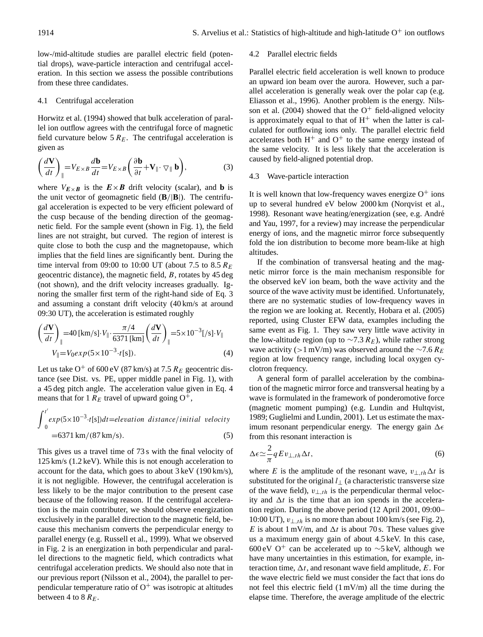low-/mid-altitude studies are parallel electric field (potential drops), wave-particle interaction and centrifugal acceleration. In this section we assess the possible contributions from these three candidates.

# 4.1 Centrifugal acceleration

[Horwitz et al.](#page-7-7) [\(1994\)](#page-7-7) showed that bulk acceleration of parallel ion outflow agrees with the centrifugal force of magnetic field curvature below  $5 R_E$ . The centrifugal acceleration is given as

<span id="page-5-0"></span>
$$
\left(\frac{d\mathbf{V}}{dt}\right)_{\parallel} = V_{E\times B} \frac{d\mathbf{b}}{dt} = V_{E\times B} \left(\frac{\partial \mathbf{b}}{\partial t} + \mathbf{V}_{\parallel} \cdot \nabla_{\parallel} \mathbf{b}\right),\tag{3}
$$

where  $V_{E\times B}$  is the  $E\times B$  drift velocity (scalar), and **b** is the unit vector of geomagnetic field (**B**/|**B**|). The centrifugal acceleration is expected to be very efficient poleward of the cusp because of the bending direction of the geomagnetic field. For the sample event (shown in Fig. [1\)](#page-2-0), the field lines are not straight, but curved. The region of interest is quite close to both the cusp and the magnetopause, which implies that the field lines are significantly bent. During the time interval from 09:00 to 10:00 UT (about 7.5 to 8.5  $R_E$ ) geocentric distance), the magnetic field, B, rotates by 45 deg (not shown), and the drift velocity increases gradually. Ignoring the smaller first term of the right-hand side of Eq. [3](#page-5-0) and assuming a constant drift velocity (40 km/s at around 09:30 UT), the acceleration is estimated roughly

$$
\left(\frac{d\mathbf{V}}{dt}\right)_{\parallel} = 40 \left[\text{km/s}\right] \cdot V_{\parallel} \cdot \frac{\pi/4}{6371 \left[\text{km}\right]} \left(\frac{d\mathbf{V}}{dt}\right)_{\parallel} = 5 \times 10^{-3} \left[\text{/s}\right] \cdot V_{\parallel}
$$
\n
$$
V_{\parallel} = V_0 exp(5 \times 10^{-3} \cdot t \text{ [s]}).
$$
\n(4)

<span id="page-5-1"></span>Let us take  $O^+$  of 600 eV (87 km/s) at 7.5  $R_E$  geocentric distance (see Dist. vs. PE, upper middle panel in Fig. [1\)](#page-2-0), with a 45 deg pitch angle. The acceleration value given in Eq. [4](#page-5-1) means that for 1  $R_E$  travel of upward going  $O^+$ ,

$$
\int_{0}^{t'} exp(5 \times 10^{-3} \cdot t[s]) dt = elevation \text{ distance/initial velocity}
$$
  
=6371 km/(87 km/s). (5)

This gives us a travel time of 73 s with the final velocity of 125 km/s (1.2 keV). While this is not enough acceleration to account for the data, which goes to about 3 keV (190 km/s), it is not negligible. However, the centrifugal acceleration is less likely to be the major contribution to the present case because of the following reason. If the centrifugal acceleration is the main contributer, we should observe energization exclusively in the parallel direction to the magnetic field, because this mechanism converts the perpendicular energy to parallel energy (e.g. [Russell et al.,](#page-7-14) [1999\)](#page-7-14). What we observed in Fig. [2](#page-3-0) is an energization in both perpendicular and parallel directions to the magnetic field, which contradicts what centrifugal acceleration predicts. We should also note that in our previous report [\(Nilsson et al.,](#page-7-10) [2004\)](#page-7-10), the parallel to perpendicular temperature ratio of  $O^+$  was isotropic at altitudes between 4 to 8  $R_E$ .

#### 4.2 Parallel electric fields

Parallel electric field acceleration is well known to produce an upward ion beam over the aurora. However, such a parallel acceleration is generally weak over the polar cap (e.g. [Eliasson et al.,](#page-7-15) [1996\)](#page-7-15). Another problem is the energy. [Nils](#page-7-10)[son et al.](#page-7-10) [\(2004\)](#page-7-10) showed that the  $O^+$  field-aligned velocity is approximately equal to that of  $H<sup>+</sup>$  when the latter is calculated for outflowing ions only. The parallel electric field accelerates both  $H^+$  and  $O^+$  to the same energy instead of the same velocity. It is less likely that the acceleration is caused by field-aligned potential drop.

# 4.3 Wave-particle interaction

It is well known that low-frequency waves energize  $O^+$  ions up to several hundred eV below 2000 km [\(Norqvist et al.,](#page-7-3) [1998\)](#page-7-3). Resonant wave heating/energization (see, e.g. André [and Yau,](#page-7-16) [1997,](#page-7-16) for a review) may increase the perpendicular energy of ions, and the magnetic mirror force subsequently fold the ion distribution to become more beam-like at high altitudes.

If the combination of transversal heating and the magnetic mirror force is the main mechanism responsible for the observed keV ion beam, both the wave activity and the source of the wave activity must be identified. Unfortunately, there are no systematic studies of low-frequency waves in the region we are looking at. Recently, [Hobara et al.](#page-7-17) [\(2005\)](#page-7-17) reported, using Cluster EFW data, examples including the same event as Fig. [1.](#page-2-0) They saw very little wave activity in the low-altitude region (up to  $\sim$ 7.3  $R_E$ ), while rather strong wave activity (>1 mV/m) was observed around the  $\sim$ 7.6 R<sub>E</sub> region at low frequency range, including local oxygen cyclotron frequency.

A general form of parallel acceleration by the combination of the magnetic mirror force and transversal heating by a wave is formulated in the framework of ponderomotive force (magnetic moment pumping) (e.g. [Lundin and Hultqvist,](#page-7-18) [1989;](#page-7-18) [Guglielmi and Lundin,](#page-7-19) [2001\)](#page-7-19). Let us estimate the maximum resonant perpendicular energy. The energy gain  $\Delta \epsilon$ from this resonant interaction is

$$
\Delta \epsilon \simeq \frac{2}{\pi} q E v_{\perp,th} \Delta t, \tag{6}
$$

where E is the amplitude of the resonant wave,  $v_{\perp,th}\Delta t$  is substituted for the original  $l_{\perp}$  (a characteristic transverse size of the wave field),  $v_{\perp,th}$  is the perpendicular thermal velocity and  $\Delta t$  is the time that an ion spends in the acceleration region. During the above period (12 April 2001, 09:00– 10:00 UT),  $v_{\perp,th}$  is no more than about 100 km/s (see Fig. [2\)](#page-3-0), E is about 1 mV/m, and  $\Delta t$  is about 70 s. These values give us a maximum energy gain of about 4.5 keV. In this case, 600 eV O<sup>+</sup> can be accelerated up to  $\sim$ 5 keV, although we have many uncertainties in this estimation, for example, interaction time,  $\Delta t$ , and resonant wave field amplitude, E. For the wave electric field we must consider the fact that ions do not feel this electric field (1 mV/m) all the time during the elapse time. Therefore, the average amplitude of the electric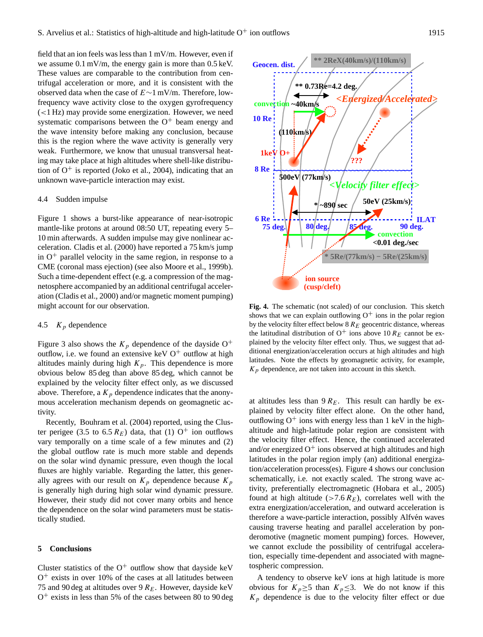field that an ion feels was less than 1 mV/m. However, even if we assume 0.1 mV/m, the energy gain is more than 0.5 keV. These values are comparable to the contribution from centrifugal acceleration or more, and it is consistent with the observed data when the case of E∼1 mV/m. Therefore, lowfrequency wave activity close to the oxygen gyrofrequency (<1 Hz) may provide some energization. However, we need systematic comparisons between the  $O<sup>+</sup>$  beam energy and the wave intensity before making any conclusion, because this is the region where the wave activity is generally very weak. Furthermore, we know that unusual transversal heating may take place at high altitudes where shell-like distribution of  $O^+$  is reported [\(Joko et al.,](#page-7-20) [2004\)](#page-7-20), indicating that an unknown wave-particle interaction may exist.

# 4.4 Sudden impulse

Figure [1](#page-2-0) shows a burst-like appearance of near-isotropic mantle-like protons at around 08:50 UT, repeating every 5– 10 min afterwards. A sudden impulse may give nonlinear acceleration. [Cladis et al.](#page-7-21) [\(2000\)](#page-7-21) have reported a 75 km/s jump in  $O<sup>+</sup>$  parallel velocity in the same region, in response to a CME (coronal mass ejection) (see also [Moore et al.,](#page-7-22) [1999b\)](#page-7-22). Such a time-dependent effect (e.g. a compression of the magnetosphere accompanied by an additional centrifugal acceleration [\(Cladis et al.,](#page-7-21) [2000\)](#page-7-21) and/or magnetic moment pumping) might account for our observation.

# 4.5  $K_p$  dependence

Figure [3](#page-4-0) also shows the  $K_p$  dependence of the dayside O<sup>+</sup> outflow, i.e. we found an extensive keV  $O<sup>+</sup>$  outflow at high altitudes mainly during high  $K_p$ . This dependence is more obvious below 85 deg than above 85 deg, which cannot be explained by the velocity filter effect only, as we discussed above. Therefore, a  $K_p$  dependence indicates that the anonymous acceleration mechanism depends on geomagnetic activity.

Recently, [Bouhram et al.](#page-7-23) [\(2004\)](#page-7-23) reported, using the Cluster perigee (3.5 to 6.5  $R_E$ ) data, that (1) O<sup>+</sup> ion outflows vary temporally on a time scale of a few minutes and (2) the global outflow rate is much more stable and depends on the solar wind dynamic pressure, even though the local fluxes are highly variable. Regarding the latter, this generally agrees with our result on  $K_p$  dependence because  $K_p$ is generally high during high solar wind dynamic pressure. However, their study did not cover many orbits and hence the dependence on the solar wind parameters must be statistically studied.

# **5 Conclusions**

Cluster statistics of the  $O^+$  outflow show that dayside keV  $O<sup>+</sup>$  exists in over 10% of the cases at all latitudes between 75 and 90 deg at altitudes over 9  $R_E$ . However, dayside keV  $O<sup>+</sup>$  exists in less than 5% of the cases between 80 to 90 deg



<span id="page-6-0"></span>**Fig. 4.** The schematic (not scaled) of our conclusion. This sketch shows that we can explain outflowing  $O^+$  ions in the polar region by the velocity filter effect below  $8 R_E$  geocentric distance, whereas the latitudinal distribution of  $O^+$  ions above 10  $R_E$  cannot be explained by the velocity filter effect only. Thus, we suggest that additional energization/acceleration occurs at high altitudes and high latitudes. Note the effects by geomagnetic activity, for example,  $K_p$  dependence, are not taken into account in this sketch.

at altitudes less than  $9 R_E$ . This result can hardly be explained by velocity filter effect alone. On the other hand, outflowing  $O^+$  ions with energy less than 1 keV in the highaltitude and high-latitude polar region are consistent with the velocity filter effect. Hence, the continued accelerated and/or energized  $O^+$  ions observed at high altitudes and high latitudes in the polar region imply (an) additional energization/acceleration process(es). Figure [4](#page-6-0) shows our conclusion schematically, i.e. not exactly scaled. The strong wave activity, preferentially electromagnetic [\(Hobara et al.,](#page-7-17) [2005\)](#page-7-17) found at high altitude ( $>7.6$   $R_E$ ), correlates well with the extra energization/acceleration, and outward acceleration is therefore a wave-particle interaction, possibly Alfvén waves causing traverse heating and parallel acceleration by ponderomotive (magnetic moment pumping) forces. However, we cannot exclude the possibility of centrifugal acceleration, especially time-dependent and associated with magnetospheric compression.

A tendency to observe keV ions at high latitude is more obvious for  $K_p \geq 5$  than  $K_p \leq 3$ . We do not know if this  $K_p$  dependence is due to the velocity filter effect or due